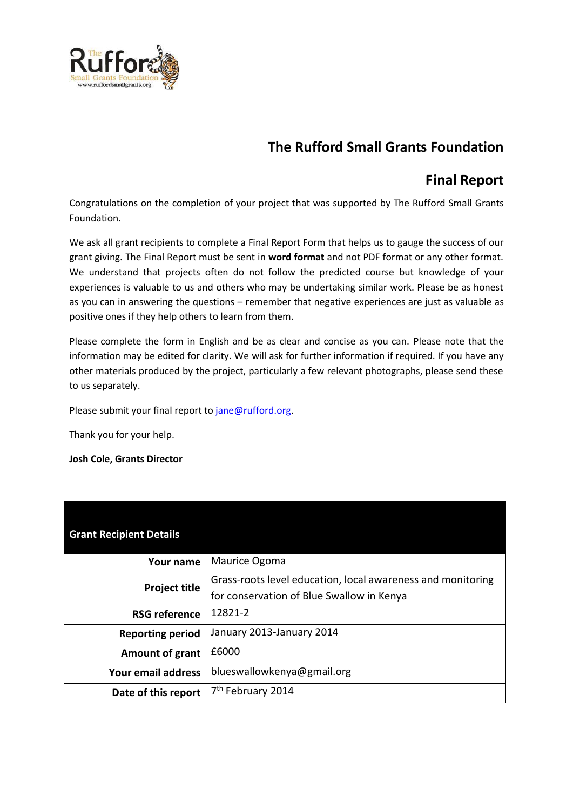

# **The Rufford Small Grants Foundation**

## **Final Report**

Congratulations on the completion of your project that was supported by The Rufford Small Grants Foundation.

We ask all grant recipients to complete a Final Report Form that helps us to gauge the success of our grant giving. The Final Report must be sent in **word format** and not PDF format or any other format. We understand that projects often do not follow the predicted course but knowledge of your experiences is valuable to us and others who may be undertaking similar work. Please be as honest as you can in answering the questions – remember that negative experiences are just as valuable as positive ones if they help others to learn from them.

Please complete the form in English and be as clear and concise as you can. Please note that the information may be edited for clarity. We will ask for further information if required. If you have any other materials produced by the project, particularly a few relevant photographs, please send these to us separately.

Please submit your final report to [jane@rufford.org.](mailto:jane@rufford.org)

Thank you for your help.

## **Josh Cole, Grants Director**

| <b>Grant Recipient Details</b> |                                                             |
|--------------------------------|-------------------------------------------------------------|
| Your name                      | Maurice Ogoma                                               |
| <b>Project title</b>           | Grass-roots level education, local awareness and monitoring |
|                                | for conservation of Blue Swallow in Kenya                   |
| <b>RSG reference</b>           | 12821-2                                                     |
| <b>Reporting period</b>        | January 2013-January 2014                                   |
| <b>Amount of grant</b>         | £6000                                                       |
| Your email address             | blueswallowkenya@gmail.org                                  |
| Date of this report            | 7 <sup>th</sup> February 2014                               |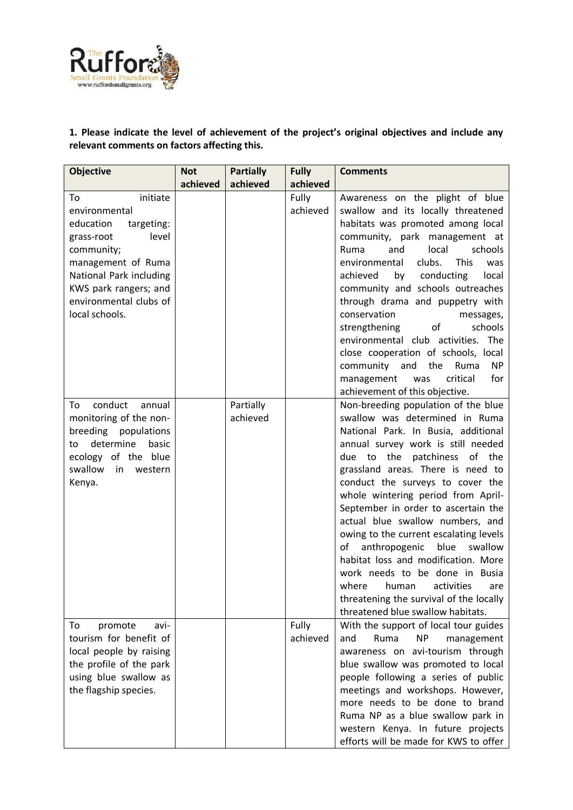

## **1. Please indicate the level of achievement of the project's original objectives and include any relevant comments on factors affecting this.**

| <b>Objective</b>                                                                                                                                                                                                      | <b>Not</b> | <b>Partially</b>      | <b>Fully</b>      | <b>Comments</b>                                                                                                                                                                                                                                                                                                                                                                                                                                                                                                                                                                                                                                                                                    |
|-----------------------------------------------------------------------------------------------------------------------------------------------------------------------------------------------------------------------|------------|-----------------------|-------------------|----------------------------------------------------------------------------------------------------------------------------------------------------------------------------------------------------------------------------------------------------------------------------------------------------------------------------------------------------------------------------------------------------------------------------------------------------------------------------------------------------------------------------------------------------------------------------------------------------------------------------------------------------------------------------------------------------|
|                                                                                                                                                                                                                       | achieved   | achieved              | achieved          |                                                                                                                                                                                                                                                                                                                                                                                                                                                                                                                                                                                                                                                                                                    |
| initiate<br>To<br>environmental<br>education<br>targeting:<br>level<br>grass-root<br>community;<br>management of Ruma<br>National Park including<br>KWS park rangers; and<br>environmental clubs of<br>local schools. |            |                       | Fully<br>achieved | Awareness on the plight of blue<br>swallow and its locally threatened<br>habitats was promoted among local<br>community, park management at<br>and<br>local<br>schools<br>Ruma<br>environmental<br>clubs.<br><b>This</b><br>was<br>achieved<br>conducting<br>by<br>local<br>community and schools outreaches<br>through drama and puppetry with<br>conservation<br>messages,<br>schools<br>strengthening<br>of<br>environmental club activities. The<br>close cooperation of schools, local<br>the<br>community<br>and<br>Ruma<br><b>NP</b><br>for<br>critical<br>management<br>was                                                                                                                |
| conduct<br>To<br>annual<br>monitoring of the non-<br>breeding<br>populations<br>determine<br>basic<br>to<br>ecology of the blue<br>swallow<br>in<br>western<br>Kenya.                                                 |            | Partially<br>achieved |                   | achievement of this objective.<br>Non-breeding population of the blue<br>swallow was determined in Ruma<br>National Park. In Busia, additional<br>annual survey work is still needed<br>due to the patchiness of the<br>grassland areas. There is need to<br>conduct the surveys to cover the<br>whole wintering period from April-<br>September in order to ascertain the<br>actual blue swallow numbers, and<br>owing to the current escalating levels<br>swallow<br>anthropogenic<br>blue<br>of<br>habitat loss and modification. More<br>work needs to be done in Busia<br>where<br>activities<br>human<br>are<br>threatening the survival of the locally<br>threatened blue swallow habitats. |
| avi-<br>To<br>promote<br>tourism for benefit of<br>local people by raising<br>the profile of the park<br>using blue swallow as<br>the flagship species.                                                               |            |                       | Fully<br>achieved | With the support of local tour guides<br>Ruma<br>and<br>NP<br>management<br>awareness on avi-tourism through<br>blue swallow was promoted to local<br>people following a series of public<br>meetings and workshops. However,<br>more needs to be done to brand<br>Ruma NP as a blue swallow park in<br>western Kenya. In future projects<br>efforts will be made for KWS to offer                                                                                                                                                                                                                                                                                                                 |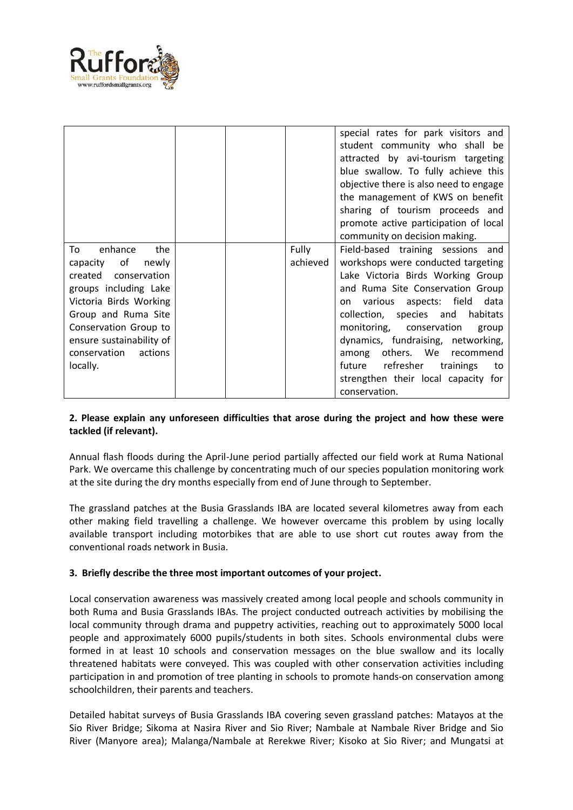

|                          |  |          | special rates for park visitors and<br>student community who shall be<br>attracted by avi-tourism targeting<br>blue swallow. To fully achieve this<br>objective there is also need to engage<br>the management of KWS on benefit<br>sharing of tourism proceeds and<br>promote active participation of local<br>community on decision making. |
|--------------------------|--|----------|-----------------------------------------------------------------------------------------------------------------------------------------------------------------------------------------------------------------------------------------------------------------------------------------------------------------------------------------------|
| the<br>enhance<br>To     |  | Fully    | Field-based training sessions and                                                                                                                                                                                                                                                                                                             |
| capacity of<br>newly     |  | achieved | workshops were conducted targeting                                                                                                                                                                                                                                                                                                            |
| created conservation     |  |          | Lake Victoria Birds Working Group                                                                                                                                                                                                                                                                                                             |
| groups including Lake    |  |          | and Ruma Site Conservation Group                                                                                                                                                                                                                                                                                                              |
| Victoria Birds Working   |  |          | on various aspects: field<br>data                                                                                                                                                                                                                                                                                                             |
| Group and Ruma Site      |  |          | collection, species and<br>habitats                                                                                                                                                                                                                                                                                                           |
| Conservation Group to    |  |          | monitoring, conservation<br>group                                                                                                                                                                                                                                                                                                             |
| ensure sustainability of |  |          | dynamics, fundraising, networking,                                                                                                                                                                                                                                                                                                            |
| actions<br>conservation  |  |          | others. We recommend<br>among                                                                                                                                                                                                                                                                                                                 |
| locally.                 |  |          | future refresher trainings<br>to                                                                                                                                                                                                                                                                                                              |
|                          |  |          | strengthen their local capacity for                                                                                                                                                                                                                                                                                                           |
|                          |  |          | conservation.                                                                                                                                                                                                                                                                                                                                 |

## **2. Please explain any unforeseen difficulties that arose during the project and how these were tackled (if relevant).**

Annual flash floods during the April-June period partially affected our field work at Ruma National Park. We overcame this challenge by concentrating much of our species population monitoring work at the site during the dry months especially from end of June through to September.

The grassland patches at the Busia Grasslands IBA are located several kilometres away from each other making field travelling a challenge. We however overcame this problem by using locally available transport including motorbikes that are able to use short cut routes away from the conventional roads network in Busia.

#### **3. Briefly describe the three most important outcomes of your project.**

Local conservation awareness was massively created among local people and schools community in both Ruma and Busia Grasslands IBAs. The project conducted outreach activities by mobilising the local community through drama and puppetry activities, reaching out to approximately 5000 local people and approximately 6000 pupils/students in both sites. Schools environmental clubs were formed in at least 10 schools and conservation messages on the blue swallow and its locally threatened habitats were conveyed. This was coupled with other conservation activities including participation in and promotion of tree planting in schools to promote hands-on conservation among schoolchildren, their parents and teachers.

Detailed habitat surveys of Busia Grasslands IBA covering seven grassland patches: Matayos at the Sio River Bridge; Sikoma at Nasira River and Sio River; Nambale at Nambale River Bridge and Sio River (Manyore area); Malanga/Nambale at Rerekwe River; Kisoko at Sio River; and Mungatsi at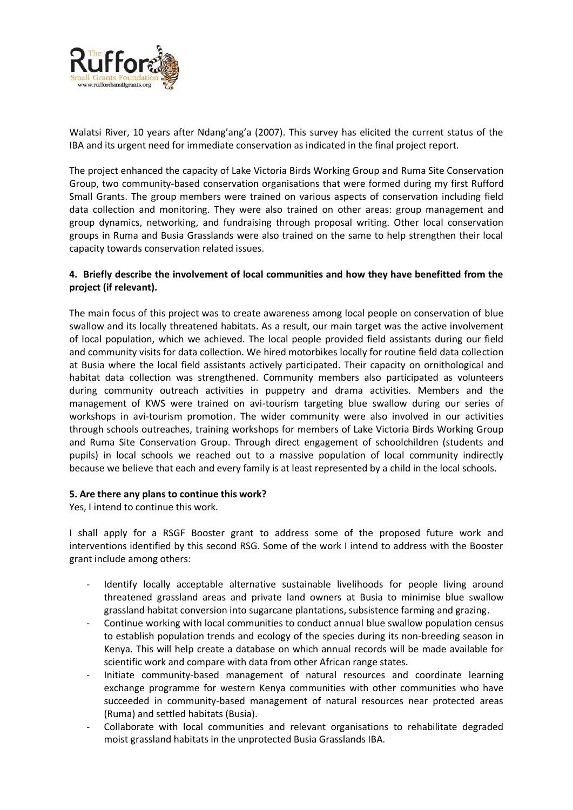

Walatsi River, 10 years after Ndang'ang'a (2007). This survey has elicited the current status of the IBA and its urgent need for immediate conservation as indicated in the final project report.

The project enhanced the capacity of Lake Victoria Birds Working Group and Ruma Site Conservation Group, two community-based conservation organisations that were formed during my first Rufford Small Grants. The group members were trained on various aspects of conservation including field data collection and monitoring. They were also trained on other areas: group management and group dynamics, networking, and fundraising through proposal writing. Other local conservation groups in Ruma and Busia Grasslands were also trained on the same to help strengthen their local capacity towards conservation related issues.

## **4. Briefly describe the involvement of local communities and how they have benefitted from the project (if relevant).**

The main focus of this project was to create awareness among local people on conservation of blue swallow and its locally threatened habitats. As a result, our main target was the active involvement of local population, which we achieved. The local people provided field assistants during our field and community visits for data collection. We hired motorbikes locally for routine field data collection at Busia where the local field assistants actively participated. Their capacity on ornithological and habitat data collection was strengthened. Community members also participated as volunteers during community outreach activities in puppetry and drama activities. Members and the management of KWS were trained on avi-tourism targeting blue swallow during our series of workshops in avi-tourism promotion. The wider community were also involved in our activities through schools outreaches, training workshops for members of Lake Victoria Birds Working Group and Ruma Site Conservation Group. Through direct engagement of schoolchildren (students and pupils) in local schools we reached out to a massive population of local community indirectly because we believe that each and every family is at least represented by a child in the local schools.

#### **5. Are there any plans to continue this work?**

Yes, I intend to continue this work.

I shall apply for a RSGF Booster grant to address some of the proposed future work and interventions identified by this second RSG. Some of the work I intend to address with the Booster grant include among others:

- Identify locally acceptable alternative sustainable livelihoods for people living around threatened grassland areas and private land owners at Busia to minimise blue swallow grassland habitat conversion into sugarcane plantations, subsistence farming and grazing.
- Continue working with local communities to conduct annual blue swallow population census to establish population trends and ecology of the species during its non-breeding season in Kenya. This will help create a database on which annual records will be made available for scientific work and compare with data from other African range states.
- Initiate community-based management of natural resources and coordinate learning exchange programme for western Kenya communities with other communities who have succeeded in community-based management of natural resources near protected areas (Ruma) and settled habitats (Busia).
- Collaborate with local communities and relevant organisations to rehabilitate degraded moist grassland habitats in the unprotected Busia Grasslands IBA.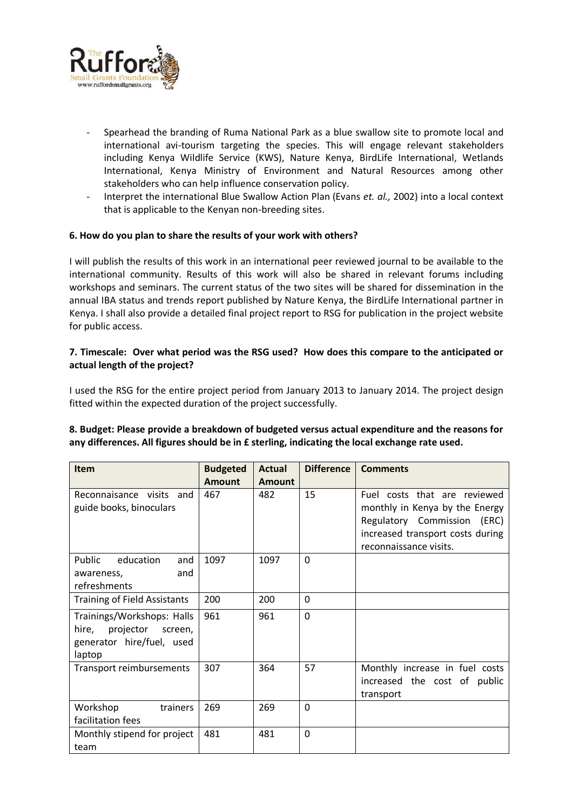

- Spearhead the branding of Ruma National Park as a blue swallow site to promote local and international avi-tourism targeting the species. This will engage relevant stakeholders including Kenya Wildlife Service (KWS), Nature Kenya, BirdLife International, Wetlands International, Kenya Ministry of Environment and Natural Resources among other stakeholders who can help influence conservation policy.
- Interpret the international Blue Swallow Action Plan (Evans *et. al.,* 2002) into a local context that is applicable to the Kenyan non-breeding sites.

#### **6. How do you plan to share the results of your work with others?**

I will publish the results of this work in an international peer reviewed journal to be available to the international community. Results of this work will also be shared in relevant forums including workshops and seminars. The current status of the two sites will be shared for dissemination in the annual IBA status and trends report published by Nature Kenya, the BirdLife International partner in Kenya. I shall also provide a detailed final project report to RSG for publication in the project website for public access.

## **7. Timescale: Over what period was the RSG used? How does this compare to the anticipated or actual length of the project?**

I used the RSG for the entire project period from January 2013 to January 2014. The project design fitted within the expected duration of the project successfully.

## **8. Budget: Please provide a breakdown of budgeted versus actual expenditure and the reasons for any differences. All figures should be in £ sterling, indicating the local exchange rate used.**

| <b>Item</b>                         | <b>Budgeted</b> | <b>Actual</b> | <b>Difference</b> | <b>Comments</b>                  |
|-------------------------------------|-----------------|---------------|-------------------|----------------------------------|
|                                     | <b>Amount</b>   | <b>Amount</b> |                   |                                  |
| Reconnaisance visits and            | 467             | 482           | 15                | Fuel costs that are reviewed     |
| guide books, binoculars             |                 |               |                   | monthly in Kenya by the Energy   |
|                                     |                 |               |                   | Regulatory Commission (ERC)      |
|                                     |                 |               |                   | increased transport costs during |
|                                     |                 |               |                   | reconnaissance visits.           |
| Public<br>education<br>and          | 1097            | 1097          | $\mathbf{0}$      |                                  |
| and<br>awareness,                   |                 |               |                   |                                  |
| refreshments                        |                 |               |                   |                                  |
| <b>Training of Field Assistants</b> | 200             | 200           | $\Omega$          |                                  |
| Trainings/Workshops: Halls          | 961             | 961           | 0                 |                                  |
| hire,<br>projector<br>screen,       |                 |               |                   |                                  |
| generator hire/fuel, used           |                 |               |                   |                                  |
| laptop                              |                 |               |                   |                                  |
| Transport reimbursements            | 307             | 364           | 57                | Monthly increase in fuel costs   |
|                                     |                 |               |                   | increased the cost of public     |
|                                     |                 |               |                   | transport                        |
| Workshop<br>trainers                | 269             | 269           | $\mathbf{0}$      |                                  |
| facilitation fees                   |                 |               |                   |                                  |
| Monthly stipend for project         | 481             | 481           | $\mathbf{0}$      |                                  |
| team                                |                 |               |                   |                                  |